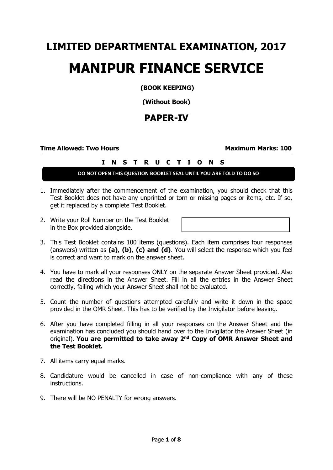# **LIMITED DEPARTMENTAL EXAMINATION, 2017 MANIPUR FINANCE SERVICE**

**(BOOK KEEPING)**

**(Without Book)**

# **PAPER-IV**

**Time Allowed: Two Hours Maximum Marks: 100**

# **I N S T R U C T I O N S**

## **DO NOT OPEN THIS QUESTION BOOKLET SEAL UNTIL YOU ARE TOLD TO DO SO**

- 1. Immediately after the commencement of the examination, you should check that this Test Booklet does not have any unprinted or torn or missing pages or items, etc. If so, get it replaced by a complete Test Booklet.
- 2. Write your Roll Number on the Test Booklet in the Box provided alongside.

- 3. This Test Booklet contains 100 items (questions). Each item comprises four responses (answers) written as **(a), (b), (c) and (d)**. You will select the response which you feel is correct and want to mark on the answer sheet.
- 4. You have to mark all your responses ONLY on the separate Answer Sheet provided. Also read the directions in the Answer Sheet. Fill in all the entries in the Answer Sheet correctly, failing which your Answer Sheet shall not be evaluated.
- 5. Count the number of questions attempted carefully and write it down in the space provided in the OMR Sheet. This has to be verified by the Invigilator before leaving.
- 6. After you have completed filling in all your responses on the Answer Sheet and the examination has concluded you should hand over to the Invigilator the Answer Sheet (in original). **You are permitted to take away 2nd Copy of OMR Answer Sheet and the Test Booklet.**
- 7. All items carry equal marks.
- 8. Candidature would be cancelled in case of non-compliance with any of these instructions.
- 9. There will be NO PENALTY for wrong answers.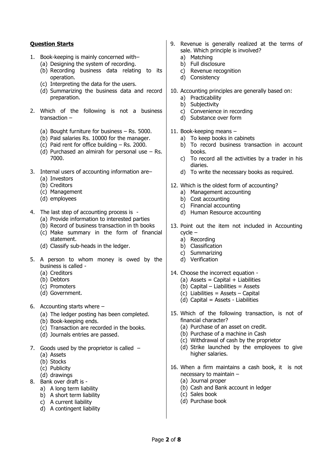### **Question Starts**

- 1. Book-keeping is mainly concerned with–
	- (a) Designing the system of recording.
	- (b) Recording business data relating to its operation.
	- (c) Interpreting the data for the users.
	- (d) Summarizing the business data and record preparation.
- 2. Which of the following is not a business transaction –
	- (a) Bought furniture for business Rs. 5000.
	- (b) Paid salaries Rs. 10000 for the manager.
	- (c) Paid rent for office building Rs. 2000.
	- (d) Purchased an almirah for personal use  $-$  Rs. 7000.
- 3. Internal users of accounting information are–
	- (a) Investors
	- (b) Creditors
	- (c) Management
	- (d) employees
- 4. The last step of accounting process is
	- (a) Provide information to interested parties
	- (b) Record of business transaction in th books
	- (c) Make summary in the form of financial statement.
	- (d) Classify sub-heads in the ledger.
- 5. A person to whom money is owed by the business is called -
	- (a) Creditors
	- (b) Debtors
	- (c) Promoters
	- (d) Government.
- 6. Accounting starts where
	- (a) The ledger posting has been completed.
	- (b) Book-keeping ends.
	- (c) Transaction are recorded in the books.
	- (d) Journals entries are passed.
- 7. Goods used by the proprietor is called  $-$ 
	- (a) Assets
	- (b) Stocks
	- (c) Publicity
	- (d) drawings
- 8. Bank over draft is
	- a) A long term liability
	- b) A short term liability
	- c) A current liability
	- d) A contingent liability
- 9. Revenue is generally realized at the terms of sale. Which principle is involved?
	- a) Matching
	- b) Full disclosure
	- c) Revenue recognition
	- d) Consistency
- 10. Accounting principles are generally based on:
	- a) Practicability
	- b) Subjectivity
	- c) Convenience in recording
	- d) Substance over form
- 11. Book-keeping means
	- a) To keep books in cabinets
	- b) To record business transaction in account books.
	- c) To record all the activities by a trader in his diaries.
	- d) To write the necessary books as required.
- 12. Which is the oldest form of accounting?
	- a) Management accounting
		- b) Cost accounting
		- c) Financial accounting
		- d) Human Resource accounting
- 13. Point out the item not included in Accounting cycle –
	- a) Recording
	- b) Classification
	- c) Summarizing
	- d) Verification
- 14. Choose the incorrect equation -
	- (a) Assets = Capital + Liabilities
	- (b) Capital Liabilities = Assets
	- (c) Liabilities = Assets Capital
	- (d) Capital = Assets Liabilities
- 15. Which of the following transaction, is not of financial character?
	- (a) Purchase of an asset on credit.
	- (b) Purchase of a machine in Cash
	- (c) Withdrawal of cash by the proprietor
	- (d) Strike launched by the employees to give higher salaries.
- 16. When a firm maintains a cash book, it is not necessary to maintain –
	- (a) Journal proper
	- (b) Cash and Bank account in ledger
	- (c) Sales book
	- (d) Purchase book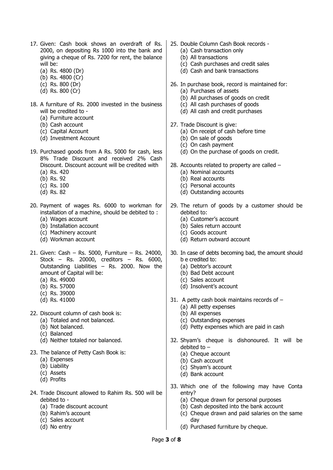- 17. Given: Cash book shows an overdraft of Rs. 2000, on depositing Rs 1000 into the bank and giving a cheque of Rs. 7200 for rent, the balance will be:
	- (a) Rs. 4800 (Dr)
	- (b) Rs. 4800 (Cr)
	- (c) Rs. 800 (Dr)
	- (d) Rs. 800 (Cr)
- 18. A furniture of Rs. 2000 invested in the business will be credited to -
	- (a) Furniture account
	- (b) Cash account
	- (c) Capital Account
	- (d) Investment Account
- 19. Purchased goods from A Rs. 5000 for cash, less 8% Trade Discount and received 2% Cash Discount. Discount account will be credited with (a) Rs. 420
	- (b) Rs. 92
	- (c) Rs. 100
	- (d) Rs. 82
	-
- 20. Payment of wages Rs. 6000 to workman for installation of a machine, should be debited to :
	- (a) Wages account
	- (b) Installation account
	- (c) Machinery account
	- (d) Workman account
- 21. Given: Cash Rs. 5000, Furniture Rs. 24000, Stock – Rs. 20000, creditors – Rs. 6000, Outstanding Liabilities – Rs. 2000. Now the amount of Capital will be:
	- (a) Rs. 49000
	- (b) Rs. 57000
	- (c) Rs. 39000
	- (d) Rs. 41000
- 22. Discount column of cash book is:
	- (a) Totaled and not balanced.
	- (b) Not balanced.
	- (c) Balanced
	- (d) Neither totaled nor balanced.
- 23. The balance of Petty Cash Book is:
	- (a) Expenses
	- (b) Liability
	- (c) Assets
	- (d) Profits
- 24. Trade Discount allowed to Rahim Rs. 500 will be debited to -
	- (a) Trade discount account
	- (b) Rahim's account
	- (c) Sales account
	- (d) No entry
- 25. Double Column Cash Book records
	- (a) Cash transaction only
	- (b) All transactions
	- (c) Cash purchases and credit sales
	- (d) Cash and bank transactions
- 26. In purchase book, record is maintained for:
	- (a) Purchases of assets
	- (b) All purchases of goods on credit
	- (c) All cash purchases of goods
	- (d) All cash and credit purchases
- 27. Trade Discount is give:
	- (a) On receipt of cash before time
	- (b) On sale of goods
	- (c) On cash payment
	- (d) On the purchase of goods on credit.
- 28. Accounts related to property are called
	- (a) Nominal accounts
	- (b) Real accounts
	- (c) Personal accounts
	- (d) Outstanding accounts
- 29. The return of goods by a customer should be debited to:
	- (a) Customer's account
	- (b) Sales return account
	- (c) Goods account
	- (d) Return outward account
- 30. In case of debts becoming bad, the amount should b e credited to:
	- (a) Debtor's account
	- (b) Bad Debt account
	- (c) Sales account
	- (d) Insolvent's account
- 31. A petty cash book maintains records of
	- (a) All petty expenses
	- (b) All expenses
	- (c) Outstanding expenses
	- (d) Petty expenses which are paid in cash
- 32. Shyam's cheque is dishonoured. It will be debited to –
	- (a) Cheque account
	- (b) Cash account
	- (c) Shyam's account
	- (d) Bank account
- 33. Which one of the following may have Conta entry?
	- (a) Cheque drawn for personal purposes
	- (b) Cash deposited into the bank account
	- (c) Cheque drawn and paid salaries on the same day
	- (d) Purchased furniture by cheque.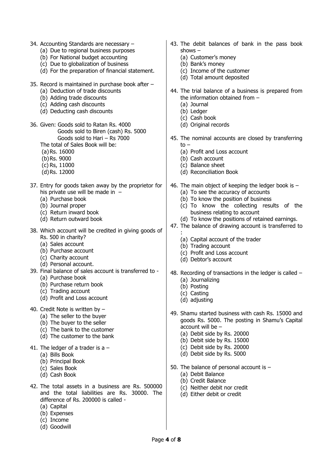- 34. Accounting Standards are necessary
	- (a) Due to regional business purposes
	- (b) For National budget accounting
	- (c) Due to globalization of business
	- (d) For the preparation of financial statement.
- 35. Record is maintained in purchase book after
	- (a) Deduction of trade discounts
	- (b) Adding trade discounts
	- (c) Adding cash discounts
	- (d) Deducting cash discounts
- 36. Given: Goods sold to Ratan Rs. 4000 Goods sold to Biren (cash) Rs. 5000 Goods sold to Hari – Rs 7000
	- The total of Sales Book will be:
	- (a)Rs. 16000
	- (b)Rs. 9000
	- (c) Rs, 11000
	- (d)Rs. 12000
- 37. Entry for goods taken away by the proprietor for his private use will be made in –
	- (a) Purchase book
	- (b) Journal proper
	- (c) Return inward book
	- (d) Return outward book
- 38. Which account will be credited in giving goods of Rs. 500 in charity?
	- (a) Sales account
	- (b) Purchase account
	- (c) Charity account
	- (d) Personal account.
- 39. Final balance of sales account is transferred to (a) Purchase book
	- (b) Purchase return book
	- (c) Trading account
	- (d) Profit and Loss account
- 40. Credit Note is written by
	- (a) The seller to the buyer
	- (b) The buyer to the seller
	- (c) The bank to the customer
	- (d) The customer to the bank
- 41. The ledger of a trader is a  $-$ 
	- (a) Bills Book
	- (b) Principal Book
	- (c) Sales Book
	- (d) Cash Book
- 42. The total assets in a business are Rs. 500000 and the total liabilities are Rs. 30000. The difference of Rs. 200000 is called -
	- (a) Capital
	- (b) Expenses
	- (c) Income
	- (d) Goodwill
- 43. The debit balances of bank in the pass book shows –
	- (a) Customer's money
	- (b) Bank's money
	- (c) Income of the customer
	- (d) Total amount deposited
- 44. The trial balance of a business is prepared from the information obtained from –
	- (a) Journal
	- (b) Ledger
	- (c) Cash book
	- (d) Original records
- 45. The nominal accounts are closed by transferring to  $-$ 
	- (a) Profit and Loss account
	- (b) Cash account
	- (c) Balance sheet
	- (d) Reconciliation Book
- 46. The main object of keeping the ledger book is
	- (a) To see the accuracy of accounts
	- (b) To know the position of business
	- (c) To know the collecting results of the business relating to account
	- (d) To know the positions of retained earnings.
- 47. The balance of drawing account is transferred to
	- : (a) Capital account of the trader
	- (b) Trading account
	- (c) Profit and Loss account
	- (d) Debtor's account
- 48. Recording of transactions in the ledger is called (a) Journalizing
	- (b) Posting
	- (c) Casting
	- (d) adjusting
- 49. Shamu started business with cash Rs. 15000 and goods Rs. 5000. The posting in Shamu's Capital account will be –
	- (a) Debit side by Rs. 20000
	- (b) Debit side by Rs. 15000
	- (c) Debit side by Rs. 20000
	- (d) Debit side by Rs. 5000
- 50. The balance of personal account is
	- (a) Debit Balance
	- (b) Credit Balance
	- (c) Neither debit nor credit
	- (d) Either debit or credit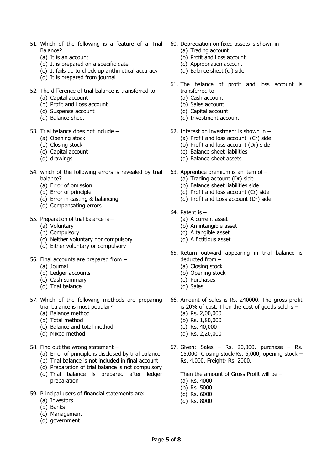| 51. Which of the following is a feature of a Trial<br>Balance?<br>(a) It is an account<br>(b) It is prepared on a specific date<br>(c) It fails up to check up arithmetical accuracy<br>(d) It is prepared from journal                                             | 60. Depreciation on fixed assets is shown in $-$<br>(a) Trading account<br>(b) Profit and Loss account<br>(c) Appropriation account<br>(d) Balance sheet (cr) side                                      |  |  |
|---------------------------------------------------------------------------------------------------------------------------------------------------------------------------------------------------------------------------------------------------------------------|---------------------------------------------------------------------------------------------------------------------------------------------------------------------------------------------------------|--|--|
| 52. The difference of trial balance is transferred to $-$<br>(a) Capital account<br>(b) Profit and Loss account<br>(c) Suspense account<br>(d) Balance sheet                                                                                                        | 61. The balance of profit and loss account is<br>transferred to $-$<br>(a) Cash account<br>(b) Sales account<br>(c) Capital account<br>(d) Investment account                                           |  |  |
| 53. Trial balance does not include -<br>(a) Opening stock<br>(b) Closing stock<br>(c) Capital account<br>(d) drawings                                                                                                                                               | 62. Interest on investment is shown in $-$<br>(a) Profit and loss account (Cr) side<br>(b) Profit and loss account (Dr) side<br>(c) Balance sheet liabilities<br>(d) Balance sheet assets               |  |  |
| 54. which of the following errors is revealed by trial<br>balance?<br>(a) Error of omission<br>(b) Error of principle<br>(c) Error in casting & balancing<br>(d) Compensating errors                                                                                | 63. Apprentice premium is an item of $-$<br>(a) Trading account (Dr) side<br>(b) Balance sheet liabilities side<br>(c) Profit and loss account (Cr) side<br>(d) Profit and Loss account (Dr) side       |  |  |
| 55. Preparation of trial balance is $-$<br>(a) Voluntary<br>(b) Compulsory<br>(c) Neither voluntary nor compulsory<br>(d) Either voluntary or compulsory                                                                                                            | 64. Patent is $-$<br>(a) A current asset<br>(b) An intangible asset<br>(c) A tangible asset<br>(d) A fictitious asset                                                                                   |  |  |
| 56. Final accounts are prepared from -<br>(a) Journal<br>(b) Ledger accounts<br>(c) Cash summary<br>(d) Trial balance                                                                                                                                               | 65. Return outward appearing in trial balance is<br>deducted from -<br>(a) Closing stock<br>(b) Opening stock<br>(c) Purchases<br>(d) Sales                                                             |  |  |
| 57. Which of the following methods are preparing<br>trial balance is most popular?<br>(a) Balance method<br>(b) Total method<br>(c) Balance and total method<br>(d) Mixed method                                                                                    | 66. Amount of sales is Rs. 240000. The gross profit<br>is 20% of cost. Then the cost of goods sold is $-$<br>(a) Rs. $2,00,000$<br>(b) Rs. 1,80,000<br>(c) Rs. $40,000$<br>(d) Rs. 2,20,000             |  |  |
| 58. Find out the wrong statement -<br>(a) Error of principle is disclosed by trial balance<br>(b) Trial balance is not included in final account<br>(c) Preparation of trial balance is not compulsory<br>(d) Trial balance is prepared after ledger<br>preparation | 67. Given: Sales $-$ Rs. 20,000, purchase $-$ Rs.<br>15,000, Closing stock-Rs. 6,000, opening stock -<br>Rs. 4,000, Freight- Rs. 2000.<br>Then the amount of Gross Profit will be $-$<br>(a) Rs. $4000$ |  |  |
| 59. Principal users of financial statements are:<br>(a) Investors<br>(b) Banks                                                                                                                                                                                      | (b) Rs. 5000<br>$(c)$ Rs. 6000<br>(d) Rs. 8000                                                                                                                                                          |  |  |

(c) Management (d) government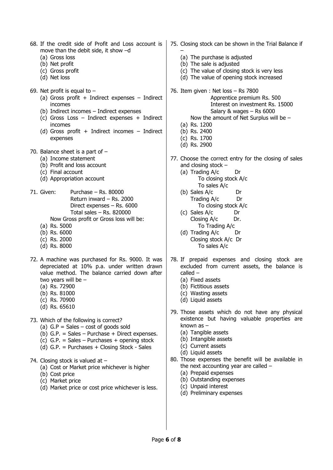- 68. If the credit side of Profit and Loss account is move than the debit side, it show –d
	- (a) Gross loss
	- (b) Net profit
	- (c) Gross profit
	- (d) Net loss
- 69. Net profit is equal to  $-$ 
	- (a) Gross profit + Indirect expenses  $-$  Indirect incomes
	- (b) Indirect incomes Indirect expenses
	- (c) Gross Loss Indirect expenses + Indirect incomes
	- (d) Gross profit + Indirect incomes  $-$  Indirect expenses
- 70. Balance sheet is a part of
	- (a) Income statement
	- (b) Profit and loss account
	- (c) Final account
	- (d) Appropriation account
- 71. Given: Purchase Rs. 80000 Return inward – Rs. 2000 Direct expenses – Rs. 6000 Total sales – Rs. 820000
	- Now Gross profit or Gross loss will be:
	- (a) Rs. 5000
	- (b) Rs. 6000
	- (c) Rs. 2000
	- (d) Rs. 8000
- 72. A machine was purchased for Rs. 9000. It was depreciated at 10% p.a. under written drawn value method. The balance carried down after two years will be –
	- (a) Rs. 72900
	- (b) Rs. 81000
	- (c) Rs. 70900
	- (d) Rs. 65610
- 73. Which of the following is correct?
	- (a)  $G.P = Sales cost of goods sold$
	- (b)  $G.P. = Sales Purchase + Direct expenses.$
	- (c) G.P. = Sales Purchases + opening stock
	- (d) G.P. = Purchases + Closing Stock Sales

### 74. Closing stock is valued at –

- (a) Cost or Market price whichever is higher
- (b) Cost price
- (c) Market price
- (d) Market price or cost price whichever is less.
- 75. Closing stock can be shown in the Trial Balance if – (a) The purchase is adjusted (b) The sale is adjusted (c) The value of closing stock is very less (d) The value of opening stock increased 76. Item given : Net loss – Rs 7800 Apprentice premium Rs. 500 Interest on investment Rs. 15000 Salary & wages – Rs 6000 Now the amount of Net Surplus will be – (a) Rs. 1200 (b) Rs. 2400 (c) Rs. 1700 (d) Rs. 2900 77. Choose the correct entry for the closing of sales and closing stock – (a) Trading A/c Dr To closing stock A/c To sales A/c (b) Sales A/c Dr Trading A/c Dr To closing stock A/c (c) Sales A/c Dr Closing A/c Dr. To Trading A/c (d) Trading A/c Dr Closing stock A/c Dr
	- To sales A/c
- 78. If prepaid expenses and closing stock are excluded from current assets, the balance is called –
	- (a) Fixed assets
	- (b) Fictitious assets
	- (c) Wasting assets
	- (d) Liquid assets
- 79. Those assets which do not have any physical existence but having valuable properties are known as –
	- (a) Tangible assets
	- (b) Intangible assets
	- (c) Current assets
	- (d) Liquid assets
- 80. Those expenses the benefit will be available in the next accounting year are called –
	- (a) Prepaid expenses
	- (b) Outstanding expenses
	- (c) Unpaid interest
	- (d) Preliminary expenses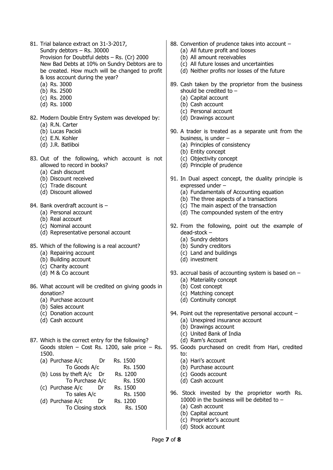- 81. Trial balance extract on 31-3-2017, Sundry debtors – Rs. 30000 Provision for Doubtful debts – Rs. (Cr) 2000 New Bad Debts at 10% on Sundry Debtors are to be created. How much will be changed to profit & loss account during the year?
	- (a) Rs. 3000
	- (b) Rs. 2500
	- (c) Rs. 2000
	- (d) Rs. 1000
- 82. Modern Double Entry System was developed by: (a) R.N. Carter
	- (b) Lucas Pacioli
	- (c) E.N. Kohler
	- (d) J.R. Batliboi
- 83. Out of the following, which account is not allowed to record in books?
	- (a) Cash discount
	- (b) Discount received
	- (c) Trade discount
	- (d) Discount allowed
- 84. Bank overdraft account is -
	- (a) Personal account
	- (b) Real account
	- (c) Nominal account
	- (d) Representative personal account
- 85. Which of the following is a real account?
	- (a) Repairing account
	- (b) Building account
	- (c) Charity account
	- (d) M & Co account
- 86. What account will be credited on giving goods in donation?
	- (a) Purchase account
	- (b) Sales account
	- (c) Donation account
	- (d) Cash account
- 87. Which is the correct entry for the following? Goods stolen – Cost Rs. 1200, sale price – Rs. 1500.
	- (a) Purchase A/c Dr Rs. 1500 To Goods A/c Rs. 1500
	- (b) Loss by theft  $A/c$  Dr Rs. 1200 To Purchase A/c Rs. 1500
	- (c) Purchase A/c Dr Rs. 1500 To sales A/c Rs. 1500
	- (d) Purchase A/c Dr Rs. 1200 To Closing stock Rs. 1500
- 88. Convention of prudence takes into account
	- (a) All future profit and looses
	- (b) All amount receivables
	- (c) All future losses and uncertainties
	- (d) Neither profits nor losses of the future
- 89. Cash taken by the proprietor from the business should be credited to –
	- (a) Capital account
	- (b) Cash account
	- (c) Personal account
	- (d) Drawings account
- 90. A trader is treated as a separate unit from the business, is under –
	- (a) Principles of consistency
	- (b) Entity concept
	- (c) Objectivity concept
	- (d) Principle of prudence
- 91. In Dual aspect concept, the duality principle is expressed under –
	- (a) Fundamentals of Accounting equation
	- (b) The three aspects of a transactions
	- (c) The main aspect of the transaction
	- (d) The compounded system of the entry
- 92. From the following, point out the example of dead-stock –
	- (a) Sundry debtors
	- (b) Sundry creditors
	- (c) Land and buildings
	- (d) investment
- 93. accrual basis of accounting system is based on (a) Materiality concept
	-
	- (b) Cost concept
	- (c) Matching concept
	- (d) Continuity concept
- 94. Point out the representative personal account (a) Unexpired insurance account
	- (b) Drawings account
	- (c) United Bank of India
	- (d) Ram's Account
- 95. Goods purchased on credit from Hari, credited to:
	- (a) Hari's account
	- (b) Purchase account
	- (c) Goods account
	- (d) Cash account
- 96. Stock invested by the proprietor worth Rs. 10000 in the business will be debited to –
	- (a) Cash account
	- (b) Capital account
	- (c) Proprietor's account
	- (d) Stock account